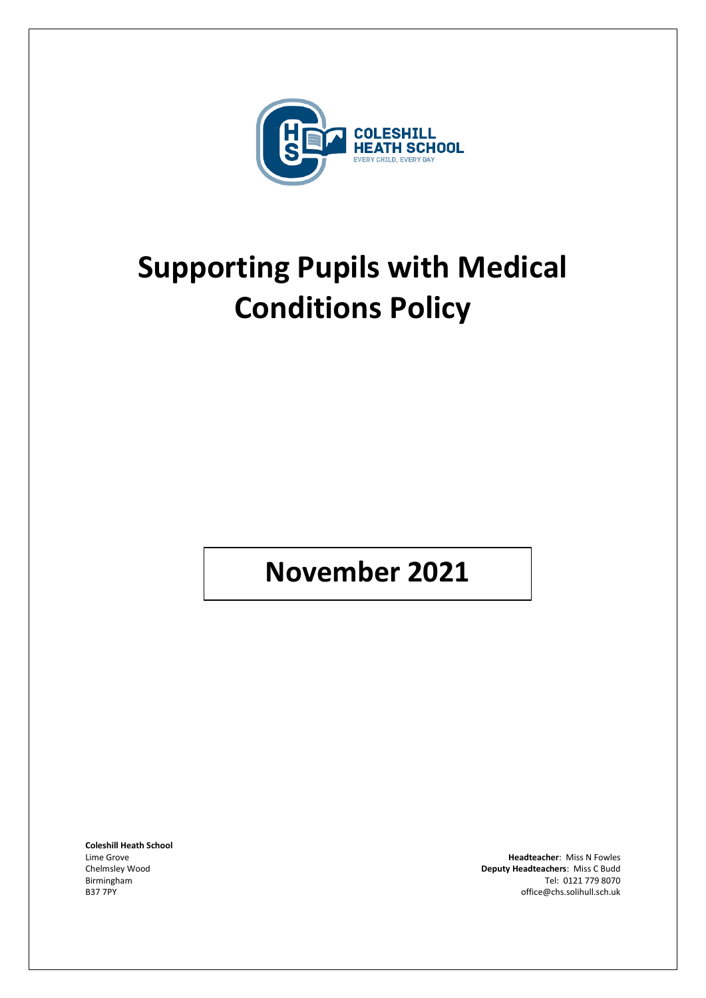

# **Supporting Pupils with Medical Conditions Policy**

# **November 2021**

**Coleshill Heath School**

Lime Grove **Headteacher:** Miss N Fowles **Headteacher: Miss N Fowles**<br>Chelmsley Wood **All and Chemical Chemical Chemical Chemical Chemical Chemical Chemical Chemical Chemical Chemical Chemical Chemical Chemical Chemical Che** Deputy Headteachers: Miss C Budd Birmingham Tel: 0121 779 8070<br>B37 7PY discussion of the state of the state of the state of the state of the state of the state of the state o<br>Office @chs.solihull.sch.uk office@chs.solihull.sch.uk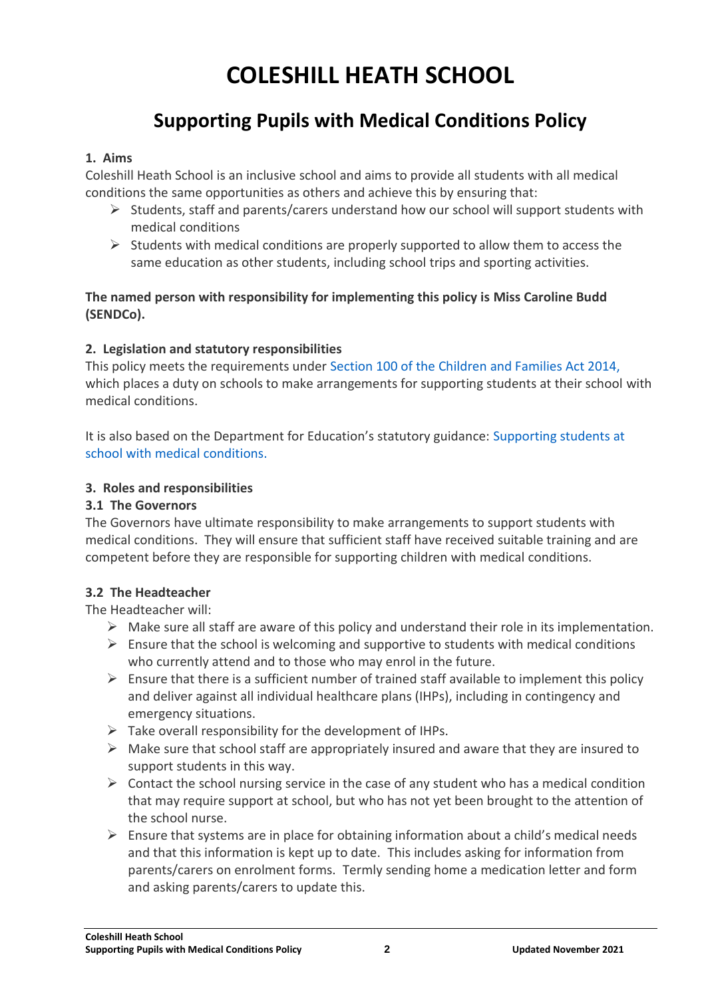# **COLESHILL HEATH SCHOOL**

# **Supporting Pupils with Medical Conditions Policy**

#### **1. Aims**

Coleshill Heath School is an inclusive school and aims to provide all students with all medical conditions the same opportunities as others and achieve this by ensuring that:

- $\triangleright$  Students, staff and parents/carers understand how our school will support students with medical conditions
- $\triangleright$  Students with medical conditions are properly supported to allow them to access the same education as other students, including school trips and sporting activities.

**The named person with responsibility for implementing this policy is Miss Caroline Budd (SENDCo).**

#### **2. Legislation and statutory responsibilities**

This policy meets the requirements under Section 100 of the Children and Families Act 2014, which places a duty on schools to make arrangements for supporting students at their school with medical conditions.

It is also based on the Department for Education's statutory guidance: Supporting students at school with medical conditions.

#### **3. Roles and responsibilities**

#### **3.1 The Governors**

The Governors have ultimate responsibility to make arrangements to support students with medical conditions. They will ensure that sufficient staff have received suitable training and are competent before they are responsible for supporting children with medical conditions.

#### **3.2 The Headteacher**

The Headteacher will:

- $\triangleright$  Make sure all staff are aware of this policy and understand their role in its implementation.
- $\triangleright$  Ensure that the school is welcoming and supportive to students with medical conditions who currently attend and to those who may enrol in the future.
- $\triangleright$  Ensure that there is a sufficient number of trained staff available to implement this policy and deliver against all individual healthcare plans (IHPs), including in contingency and emergency situations.
- $\triangleright$  Take overall responsibility for the development of IHPs.
- $\triangleright$  Make sure that school staff are appropriately insured and aware that they are insured to support students in this way.
- $\triangleright$  Contact the school nursing service in the case of any student who has a medical condition that may require support at school, but who has not yet been brought to the attention of the school nurse.
- $\triangleright$  Ensure that systems are in place for obtaining information about a child's medical needs and that this information is kept up to date. This includes asking for information from parents/carers on enrolment forms. Termly sending home a medication letter and form and asking parents/carers to update this.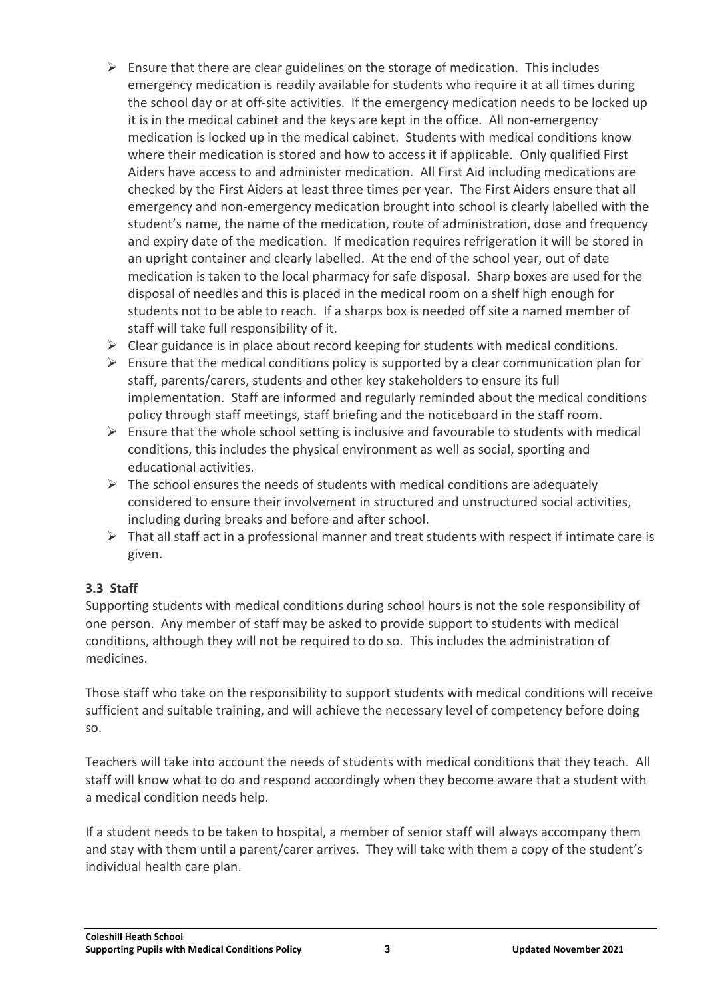- $\triangleright$  Ensure that there are clear guidelines on the storage of medication. This includes emergency medication is readily available for students who require it at all times during the school day or at off-site activities. If the emergency medication needs to be locked up it is in the medical cabinet and the keys are kept in the office. All non-emergency medication is locked up in the medical cabinet. Students with medical conditions know where their medication is stored and how to access it if applicable. Only qualified First Aiders have access to and administer medication. All First Aid including medications are checked by the First Aiders at least three times per year. The First Aiders ensure that all emergency and non-emergency medication brought into school is clearly labelled with the student's name, the name of the medication, route of administration, dose and frequency and expiry date of the medication. If medication requires refrigeration it will be stored in an upright container and clearly labelled. At the end of the school year, out of date medication is taken to the local pharmacy for safe disposal. Sharp boxes are used for the disposal of needles and this is placed in the medical room on a shelf high enough for students not to be able to reach. If a sharps box is needed off site a named member of staff will take full responsibility of it.
- $\triangleright$  Clear guidance is in place about record keeping for students with medical conditions.
- $\triangleright$  Ensure that the medical conditions policy is supported by a clear communication plan for staff, parents/carers, students and other key stakeholders to ensure its full implementation. Staff are informed and regularly reminded about the medical conditions policy through staff meetings, staff briefing and the noticeboard in the staff room.
- $\triangleright$  Ensure that the whole school setting is inclusive and favourable to students with medical conditions, this includes the physical environment as well as social, sporting and educational activities.
- $\triangleright$  The school ensures the needs of students with medical conditions are adequately considered to ensure their involvement in structured and unstructured social activities, including during breaks and before and after school.
- $\triangleright$  That all staff act in a professional manner and treat students with respect if intimate care is given.

# **3.3 Staff**

Supporting students with medical conditions during school hours is not the sole responsibility of one person. Any member of staff may be asked to provide support to students with medical conditions, although they will not be required to do so. This includes the administration of medicines.

Those staff who take on the responsibility to support students with medical conditions will receive sufficient and suitable training, and will achieve the necessary level of competency before doing so.

Teachers will take into account the needs of students with medical conditions that they teach. All staff will know what to do and respond accordingly when they become aware that a student with a medical condition needs help.

If a student needs to be taken to hospital, a member of senior staff will always accompany them and stay with them until a parent/carer arrives. They will take with them a copy of the student's individual health care plan.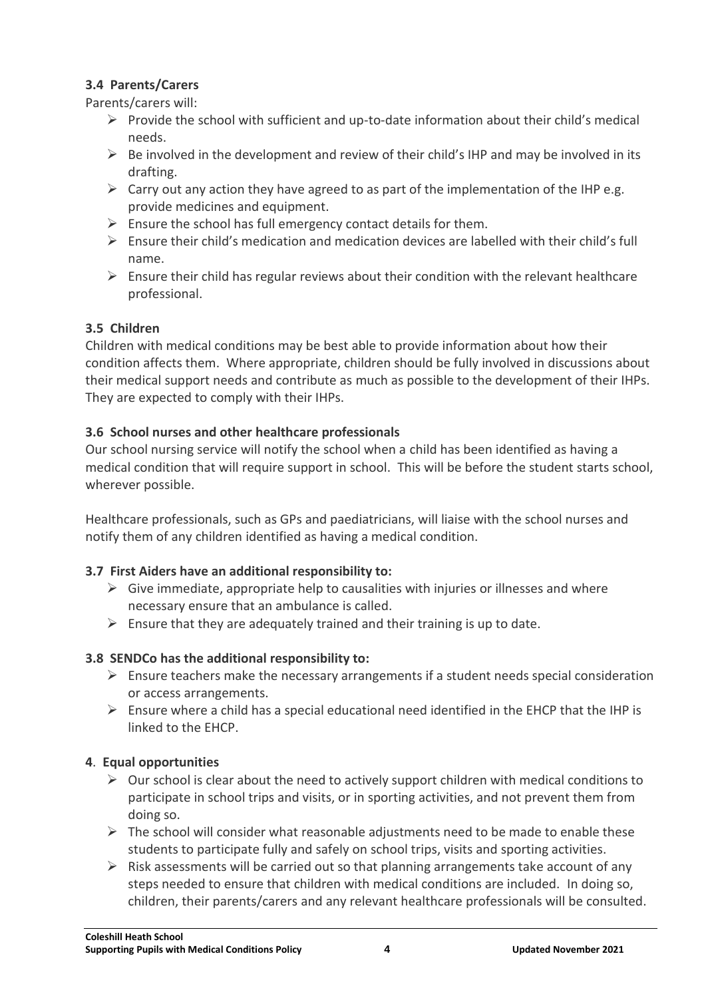# **3.4 Parents/Carers**

Parents/carers will:

- $\triangleright$  Provide the school with sufficient and up-to-date information about their child's medical needs.
- $\triangleright$  Be involved in the development and review of their child's IHP and may be involved in its drafting.
- $\triangleright$  Carry out any action they have agreed to as part of the implementation of the IHP e.g. provide medicines and equipment.
- $\triangleright$  Ensure the school has full emergency contact details for them.
- $\triangleright$  Ensure their child's medication and medication devices are labelled with their child's full name.
- $\triangleright$  Ensure their child has regular reviews about their condition with the relevant healthcare professional.

# **3.5 Children**

Children with medical conditions may be best able to provide information about how their condition affects them. Where appropriate, children should be fully involved in discussions about their medical support needs and contribute as much as possible to the development of their IHPs. They are expected to comply with their IHPs.

# **3.6 School nurses and other healthcare professionals**

Our school nursing service will notify the school when a child has been identified as having a medical condition that will require support in school. This will be before the student starts school, wherever possible.

Healthcare professionals, such as GPs and paediatricians, will liaise with the school nurses and notify them of any children identified as having a medical condition.

# **3.7 First Aiders have an additional responsibility to:**

- $\triangleright$  Give immediate, appropriate help to causalities with injuries or illnesses and where necessary ensure that an ambulance is called.
- $\triangleright$  Ensure that they are adequately trained and their training is up to date.

# **3.8 SENDCo has the additional responsibility to:**

- $\triangleright$  Ensure teachers make the necessary arrangements if a student needs special consideration or access arrangements.
- $\triangleright$  Ensure where a child has a special educational need identified in the EHCP that the IHP is linked to the EHCP.

# **4**. **Equal opportunities**

- $\triangleright$  Our school is clear about the need to actively support children with medical conditions to participate in school trips and visits, or in sporting activities, and not prevent them from doing so.
- $\triangleright$  The school will consider what reasonable adjustments need to be made to enable these students to participate fully and safely on school trips, visits and sporting activities.
- $\triangleright$  Risk assessments will be carried out so that planning arrangements take account of any steps needed to ensure that children with medical conditions are included. In doing so, children, their parents/carers and any relevant healthcare professionals will be consulted.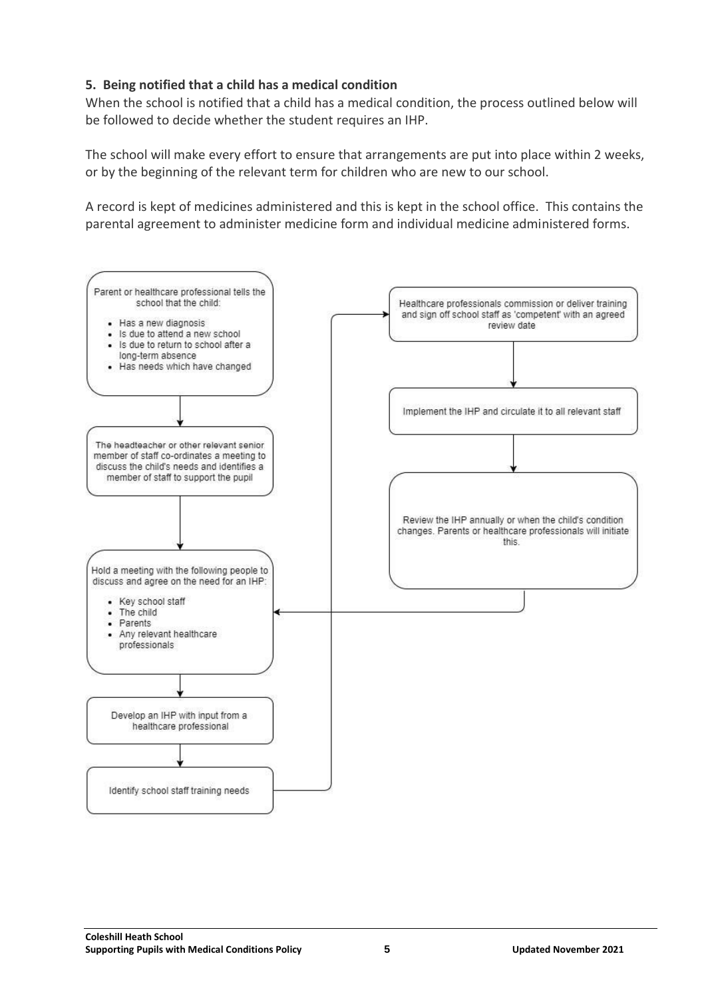### **5. Being notified that a child has a medical condition**

When the school is notified that a child has a medical condition, the process outlined below will be followed to decide whether the student requires an IHP.

The school will make every effort to ensure that arrangements are put into place within 2 weeks, or by the beginning of the relevant term for children who are new to our school.

A record is kept of medicines administered and this is kept in the school office. This contains the parental agreement to administer medicine form and individual medicine administered forms.

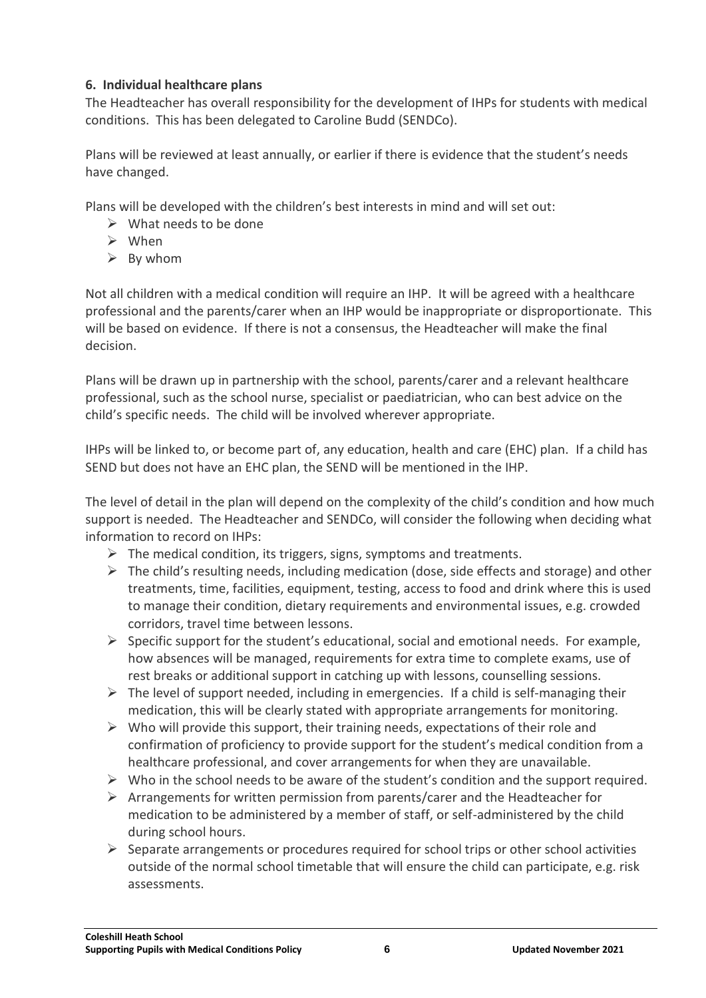### **6. Individual healthcare plans**

The Headteacher has overall responsibility for the development of IHPs for students with medical conditions. This has been delegated to Caroline Budd (SENDCo).

Plans will be reviewed at least annually, or earlier if there is evidence that the student's needs have changed.

Plans will be developed with the children's best interests in mind and will set out:

- $\triangleright$  What needs to be done
- $\triangleright$  When
- $\triangleright$  By whom

Not all children with a medical condition will require an IHP. It will be agreed with a healthcare professional and the parents/carer when an IHP would be inappropriate or disproportionate. This will be based on evidence. If there is not a consensus, the Headteacher will make the final decision.

Plans will be drawn up in partnership with the school, parents/carer and a relevant healthcare professional, such as the school nurse, specialist or paediatrician, who can best advice on the child's specific needs. The child will be involved wherever appropriate.

IHPs will be linked to, or become part of, any education, health and care (EHC) plan. If a child has SEND but does not have an EHC plan, the SEND will be mentioned in the IHP.

The level of detail in the plan will depend on the complexity of the child's condition and how much support is needed. The Headteacher and SENDCo, will consider the following when deciding what information to record on IHPs:

- $\triangleright$  The medical condition, its triggers, signs, symptoms and treatments.
- $\triangleright$  The child's resulting needs, including medication (dose, side effects and storage) and other treatments, time, facilities, equipment, testing, access to food and drink where this is used to manage their condition, dietary requirements and environmental issues, e.g. crowded corridors, travel time between lessons.
- $\triangleright$  Specific support for the student's educational, social and emotional needs. For example, how absences will be managed, requirements for extra time to complete exams, use of rest breaks or additional support in catching up with lessons, counselling sessions.
- $\triangleright$  The level of support needed, including in emergencies. If a child is self-managing their medication, this will be clearly stated with appropriate arrangements for monitoring.
- $\triangleright$  Who will provide this support, their training needs, expectations of their role and confirmation of proficiency to provide support for the student's medical condition from a healthcare professional, and cover arrangements for when they are unavailable.
- $\triangleright$  Who in the school needs to be aware of the student's condition and the support required.
- $\triangleright$  Arrangements for written permission from parents/carer and the Headteacher for medication to be administered by a member of staff, or self-administered by the child during school hours.
- $\triangleright$  Separate arrangements or procedures required for school trips or other school activities outside of the normal school timetable that will ensure the child can participate, e.g. risk assessments.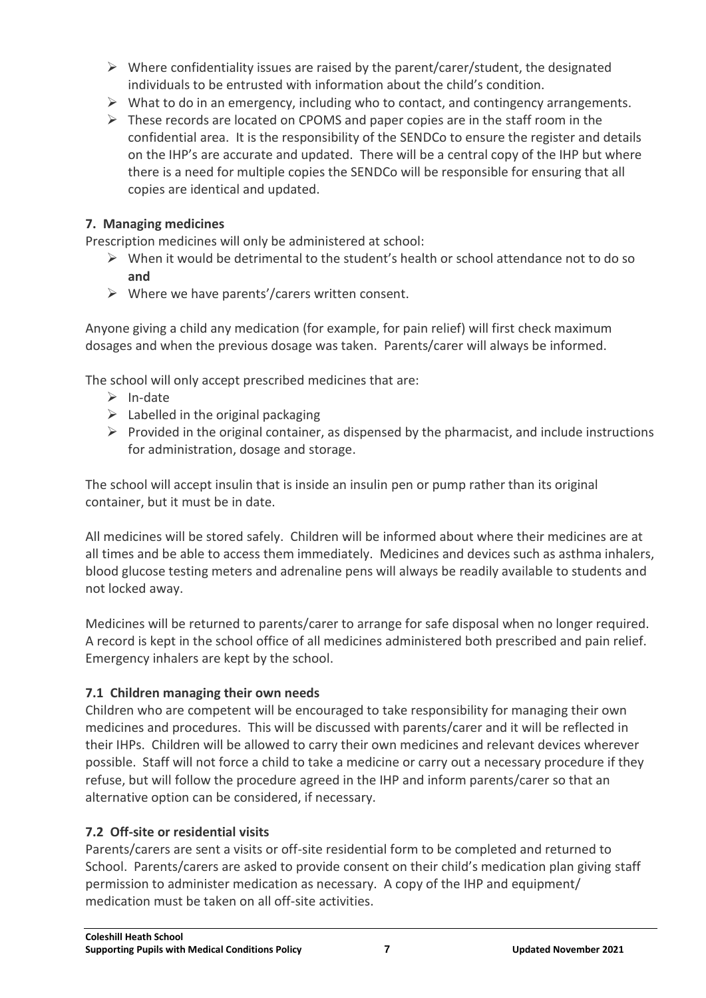- $\triangleright$  Where confidentiality issues are raised by the parent/carer/student, the designated individuals to be entrusted with information about the child's condition.
- $\triangleright$  What to do in an emergency, including who to contact, and contingency arrangements.
- $\triangleright$  These records are located on CPOMS and paper copies are in the staff room in the confidential area. It is the responsibility of the SENDCo to ensure the register and details on the IHP's are accurate and updated. There will be a central copy of the IHP but where there is a need for multiple copies the SENDCo will be responsible for ensuring that all copies are identical and updated.

### **7. Managing medicines**

Prescription medicines will only be administered at school:

- $\triangleright$  When it would be detrimental to the student's health or school attendance not to do so **and**
- $\triangleright$  Where we have parents'/carers written consent.

Anyone giving a child any medication (for example, for pain relief) will first check maximum dosages and when the previous dosage was taken. Parents/carer will always be informed.

The school will only accept prescribed medicines that are:

- $\triangleright$  In-date
- $\triangleright$  Labelled in the original packaging
- $\triangleright$  Provided in the original container, as dispensed by the pharmacist, and include instructions for administration, dosage and storage.

The school will accept insulin that is inside an insulin pen or pump rather than its original container, but it must be in date.

All medicines will be stored safely. Children will be informed about where their medicines are at all times and be able to access them immediately. Medicines and devices such as asthma inhalers, blood glucose testing meters and adrenaline pens will always be readily available to students and not locked away.

Medicines will be returned to parents/carer to arrange for safe disposal when no longer required. A record is kept in the school office of all medicines administered both prescribed and pain relief. Emergency inhalers are kept by the school.

# **7.1 Children managing their own needs**

Children who are competent will be encouraged to take responsibility for managing their own medicines and procedures. This will be discussed with parents/carer and it will be reflected in their IHPs. Children will be allowed to carry their own medicines and relevant devices wherever possible. Staff will not force a child to take a medicine or carry out a necessary procedure if they refuse, but will follow the procedure agreed in the IHP and inform parents/carer so that an alternative option can be considered, if necessary.

#### **7.2 Off-site or residential visits**

Parents/carers are sent a visits or off-site residential form to be completed and returned to School. Parents/carers are asked to provide consent on their child's medication plan giving staff permission to administer medication as necessary. A copy of the IHP and equipment/ medication must be taken on all off-site activities.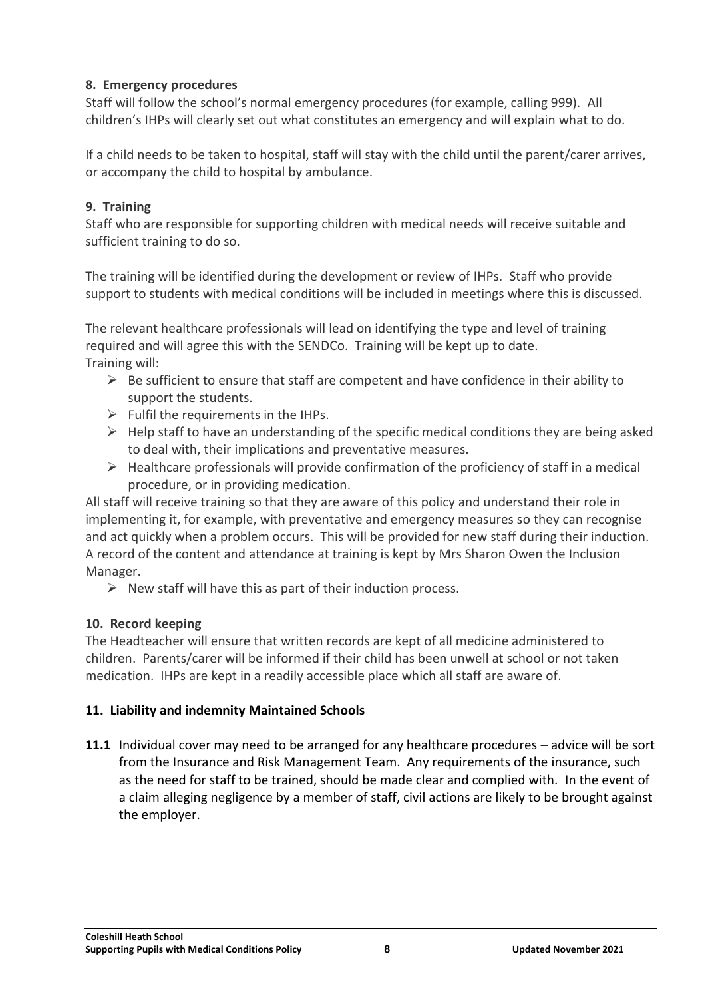# **8. Emergency procedures**

Staff will follow the school's normal emergency procedures (for example, calling 999). All children's IHPs will clearly set out what constitutes an emergency and will explain what to do.

If a child needs to be taken to hospital, staff will stay with the child until the parent/carer arrives, or accompany the child to hospital by ambulance.

# **9. Training**

Staff who are responsible for supporting children with medical needs will receive suitable and sufficient training to do so.

The training will be identified during the development or review of IHPs. Staff who provide support to students with medical conditions will be included in meetings where this is discussed.

The relevant healthcare professionals will lead on identifying the type and level of training required and will agree this with the SENDCo. Training will be kept up to date. Training will:

- $\triangleright$  Be sufficient to ensure that staff are competent and have confidence in their ability to support the students.
- $\triangleright$  Fulfil the requirements in the IHPs.
- $\triangleright$  Help staff to have an understanding of the specific medical conditions they are being asked to deal with, their implications and preventative measures.
- $\triangleright$  Healthcare professionals will provide confirmation of the proficiency of staff in a medical procedure, or in providing medication.

All staff will receive training so that they are aware of this policy and understand their role in implementing it, for example, with preventative and emergency measures so they can recognise and act quickly when a problem occurs. This will be provided for new staff during their induction. A record of the content and attendance at training is kept by Mrs Sharon Owen the Inclusion Manager.

 $\triangleright$  New staff will have this as part of their induction process.

# **10. Record keeping**

The Headteacher will ensure that written records are kept of all medicine administered to children. Parents/carer will be informed if their child has been unwell at school or not taken medication. IHPs are kept in a readily accessible place which all staff are aware of.

# **11. Liability and indemnity Maintained Schools**

**11.1** Individual cover may need to be arranged for any healthcare procedures – advice will be sort from the Insurance and Risk Management Team. Any requirements of the insurance, such as the need for staff to be trained, should be made clear and complied with. In the event of a claim alleging negligence by a member of staff, civil actions are likely to be brought against the employer.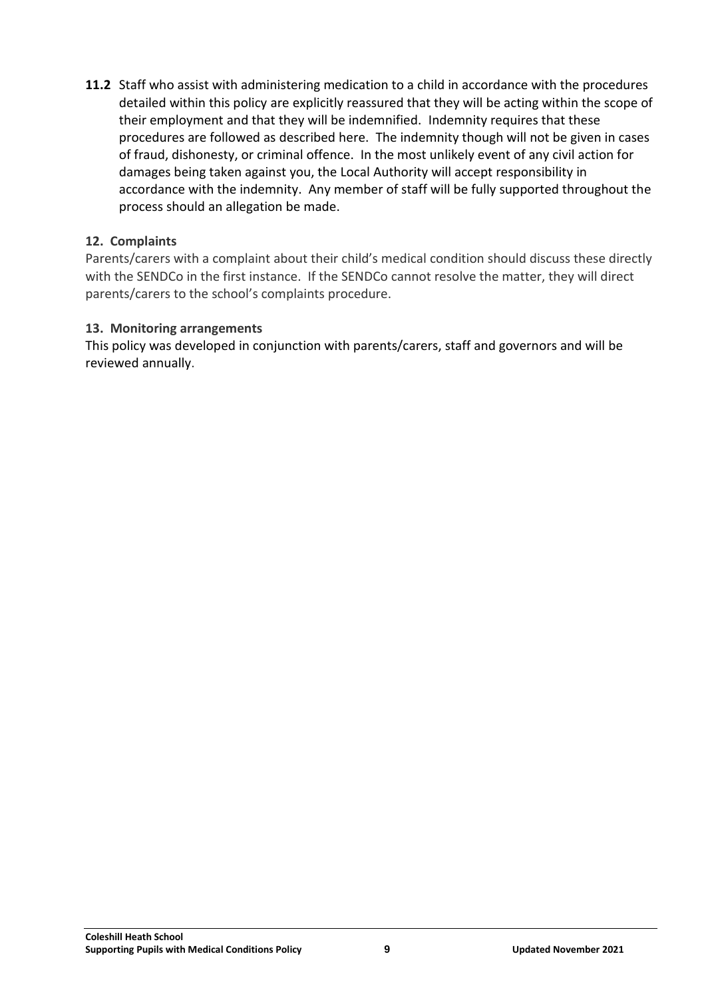**11.2** Staff who assist with administering medication to a child in accordance with the procedures detailed within this policy are explicitly reassured that they will be acting within the scope of their employment and that they will be indemnified. Indemnity requires that these procedures are followed as described here. The indemnity though will not be given in cases of fraud, dishonesty, or criminal offence. In the most unlikely event of any civil action for damages being taken against you, the Local Authority will accept responsibility in accordance with the indemnity. Any member of staff will be fully supported throughout the process should an allegation be made.

#### **12. Complaints**

Parents/carers with a complaint about their child's medical condition should discuss these directly with the SENDCo in the first instance. If the SENDCo cannot resolve the matter, they will direct parents/carers to the school's complaints procedure.

### **13. Monitoring arrangements**

This policy was developed in conjunction with parents/carers, staff and governors and will be reviewed annually.